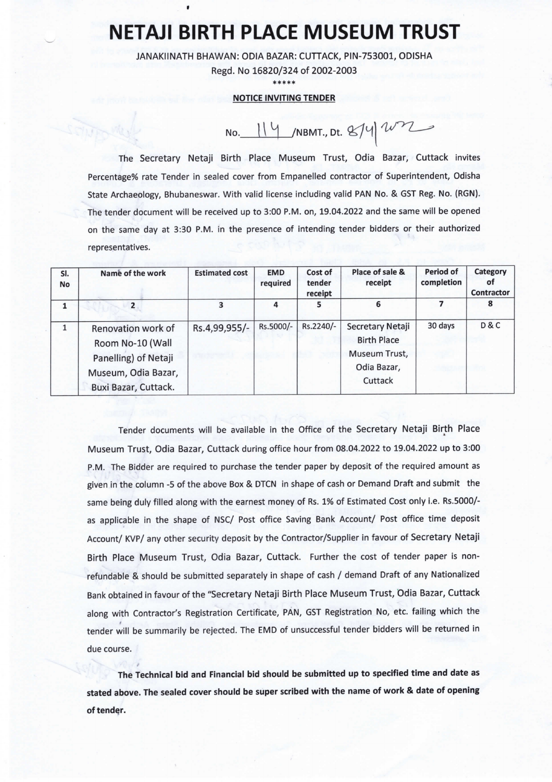## NETAJI BIRTH PLACE MUSEUM TRUST

JANAKllNATH BHAWAN: ODIA BAZAR: CUTTACK, PIN-753001, ODISHA

Regd. No 16820/324 of 2002-2003

\*\*\*\*

## NOTICE INVITING TENDER

 $NO.$  114 /NBMT., Dt. 874  $W^2$ 

The Secretary Netaji Birth Place Museum Trust, Odia Bazar, Cuttack invites Percentage% rate Tender in sealed cover from Empanelled contractor of Superintendent, Odisha State Archaeology, Bhubaneswar. With valid license including valid PAN No. & GST Reg. No. (RGN). The tender document will be received up to 3:00 P.M. on,19.04.2022 and the same will be opened on the same day at 3:30 P.M. in the presence of intending tender bidders or their authorized representatives.

| SI.<br>No    | Name of the work                                                                                              | <b>Estimated cost</b> | <b>EMD</b><br>required | Cost of<br>tender<br>receipt | Place of sale &<br>receipt                                                        | Period of<br>completion | Category<br>οf<br><b>Contractor</b> |
|--------------|---------------------------------------------------------------------------------------------------------------|-----------------------|------------------------|------------------------------|-----------------------------------------------------------------------------------|-------------------------|-------------------------------------|
|              |                                                                                                               | 3                     | 4                      | 5                            | 6                                                                                 |                         | 8                                   |
| $\mathbf{1}$ | Renovation work of<br>Room No-10 (Wall<br>Panelling) of Netaji<br>Museum, Odia Bazar,<br>Buxi Bazar, Cuttack. | Rs.4,99,955/-         | Rs.5000/-              | Rs.2240/-                    | Secretary Netaji<br><b>Birth Place</b><br>Museum Trust,<br>Odia Bazar,<br>Cuttack | 30 days                 | <b>D&amp;C</b>                      |

Tender documents will be available in the Office of the Secretary Netaji Birth Place Museum Trust, Odia Bazar, Cuttack during office hour from 08.04.2022 to 19.04.2022 up to 3:00 P.M. The Bidder are required to purchase the tender paper by deposit of the required amount as given in the column -5 of the above Box & DTCN in shape of cash or Demand Draft and submit the same being duly filled along with the earnest money of Rs. 1% of Estimated Cost only i.e. Rs.5000/ as applicable in the shape of NSC/ Post office Saving Bank Account/ Post office time deposit Account/ KVP/ any other security deposit by the Contractor/Supplier in favour of Secretary Netaji Birth place Museum Trust, Odia Bazar, Cuttack. Further the cost of tender paper is nonrefundable & should be submitted separately in shape of cash / demand Draft of any Nationalized Bank obtained in favour of the "Secretary Netaji Birth Place Museum Trust, Odia Bazar, Cuttack along with Contractor's Registration Certificate, PAN, GST Registration No, etc. failing which the tender will be summarily be rejected. The EMD of unsuccessful tender bidders will be returned in due course.

The Technical bid and Financial bid should be submitted up to specified time and date as stated above. The sealed cover should be super scribed with the name of work & date of opening of tender.